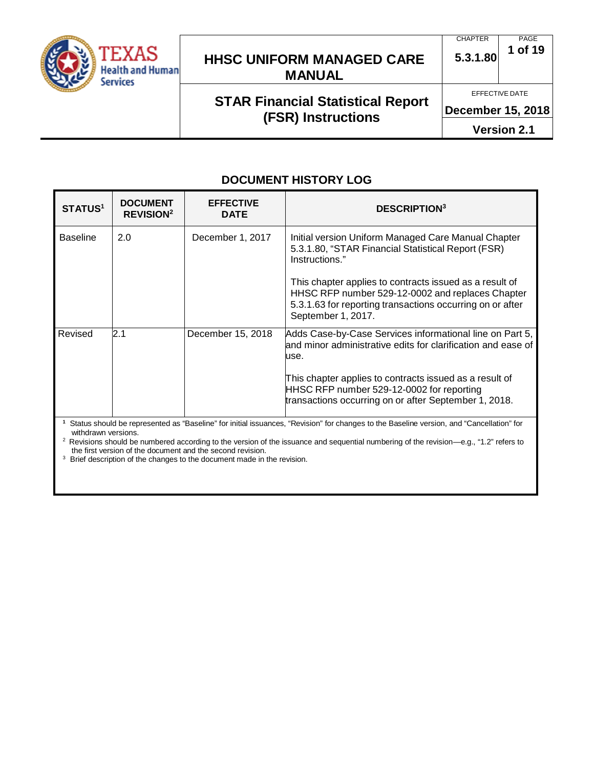

#### **CHAPTER 5.3.1.80** PAGE **1 of 19**

EFFECTIVE DATE

## **STAR Financial Statistical Report (FSR) Instructions**

**December 15, 2018**

**Version 2.1**

## **DOCUMENT HISTORY LOG**

| <b>STATUS<sup>1</sup></b>                                                                                                                                       | <b>DOCUMENT</b><br><b>REVISION<sup>2</sup></b> | <b>EFFECTIVE</b><br><b>DATE</b> | <b>DESCRIPTION</b> <sup>3</sup>                                                                                                                                                        |
|-----------------------------------------------------------------------------------------------------------------------------------------------------------------|------------------------------------------------|---------------------------------|----------------------------------------------------------------------------------------------------------------------------------------------------------------------------------------|
| <b>Baseline</b>                                                                                                                                                 | 2.0                                            | December 1, 2017                | Initial version Uniform Managed Care Manual Chapter<br>5.3.1.80, "STAR Financial Statistical Report (FSR)<br>Instructions."<br>This chapter applies to contracts issued as a result of |
|                                                                                                                                                                 |                                                |                                 | HHSC RFP number 529-12-0002 and replaces Chapter<br>5.3.1.63 for reporting transactions occurring on or after<br>September 1, 2017.                                                    |
| Revised                                                                                                                                                         | 2.1                                            | December 15, 2018               | Adds Case-by-Case Services informational line on Part 5,<br>and minor administrative edits for clarification and ease of<br>use.                                                       |
|                                                                                                                                                                 |                                                |                                 | This chapter applies to contracts issued as a result of<br>HHSC RFP number 529-12-0002 for reporting<br>transactions occurring on or after September 1, 2018.                          |
| Status should be represented as "Baseline" for initial issuances, "Revision" for changes to the Baseline version, and "Cancellation" for<br>withdrawn versions. |                                                |                                 |                                                                                                                                                                                        |

 $^2$  Revisions should be numbered according to the version of the issuance and sequential numbering of the revision—e.g., "1.2" refers to the first version of the document and the second revision.

<sup>3</sup> Brief description of the changes to the document made in the revision.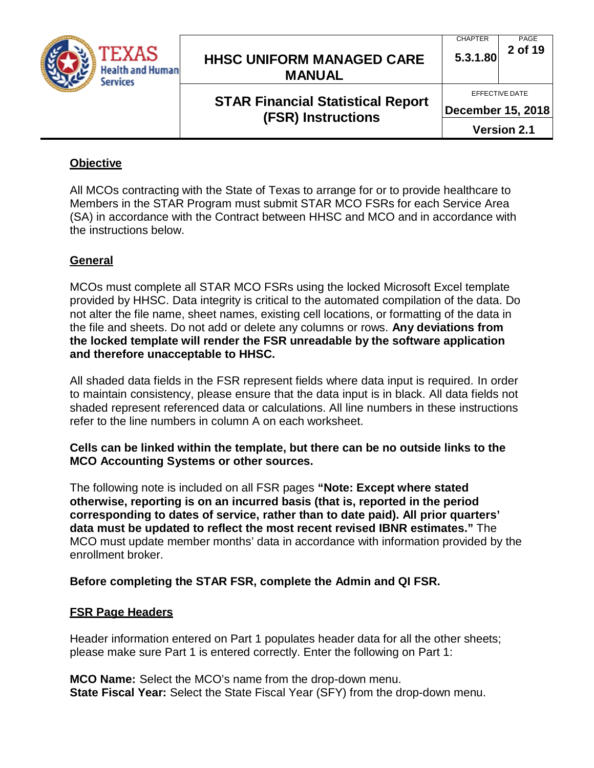

## **STAR Financial Statistical Report (FSR) Instructions**

**CHAPTER 5.3.1.80** PAGE **2 of 19**

**December 15, 2018**

**Version 2.1**

#### **Objective**

All MCOs contracting with the State of Texas to arrange for or to provide healthcare to Members in the STAR Program must submit STAR MCO FSRs for each Service Area (SA) in accordance with the Contract between HHSC and MCO and in accordance with the instructions below.

## **General**

MCOs must complete all STAR MCO FSRs using the locked Microsoft Excel template provided by HHSC. Data integrity is critical to the automated compilation of the data. Do not alter the file name, sheet names, existing cell locations, or formatting of the data in the file and sheets. Do not add or delete any columns or rows. **Any deviations from the locked template will render the FSR unreadable by the software application and therefore unacceptable to HHSC.**

All shaded data fields in the FSR represent fields where data input is required. In order to maintain consistency, please ensure that the data input is in black. All data fields not shaded represent referenced data or calculations. All line numbers in these instructions refer to the line numbers in column A on each worksheet.

**Cells can be linked within the template, but there can be no outside links to the MCO Accounting Systems or other sources.**

The following note is included on all FSR pages **"Note: Except where stated otherwise, reporting is on an incurred basis (that is, reported in the period corresponding to dates of service, rather than to date paid). All prior quarters' data must be updated to reflect the most recent revised IBNR estimates."** The MCO must update member months' data in accordance with information provided by the enrollment broker.

#### **Before completing the STAR FSR, complete the Admin and QI FSR.**

#### **FSR Page Headers**

Header information entered on Part 1 populates header data for all the other sheets; please make sure Part 1 is entered correctly. Enter the following on Part 1:

**MCO Name:** Select the MCO's name from the drop-down menu. **State Fiscal Year:** Select the State Fiscal Year (SFY) from the drop-down menu.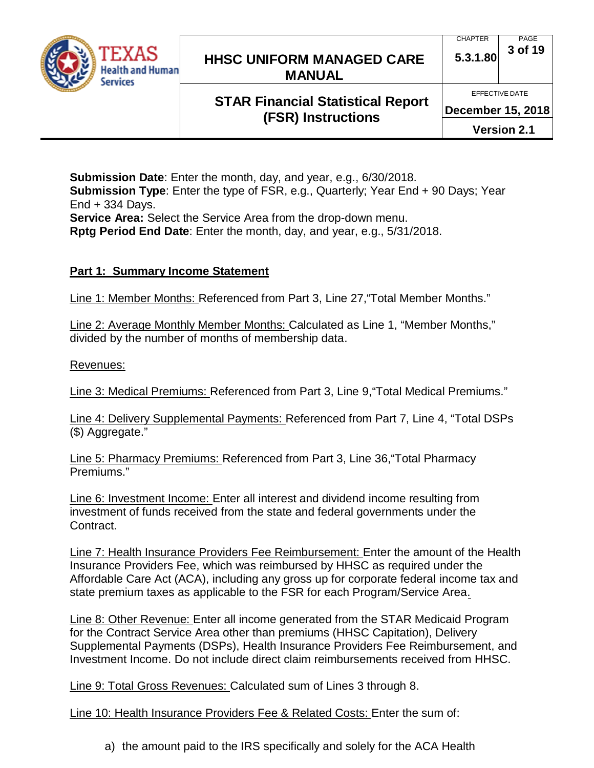

## **STAR Financial Statistical Report (FSR) Instructions**

**December 15, 2018**

**Version 2.1**

**Submission Date**: Enter the month, day, and year, e.g., 6/30/2018. **Submission Type**: Enter the type of FSR, e.g., Quarterly; Year End + 90 Days; Year End + 334 Days. **Service Area:** Select the Service Area from the drop-down menu. **Rptg Period End Date**: Enter the month, day, and year, e.g., 5/31/2018.

### **Part 1: Summary Income Statement**

Line 1: Member Months: Referenced from Part 3, Line 27,"Total Member Months."

Line 2: Average Monthly Member Months: Calculated as Line 1, "Member Months," divided by the number of months of membership data.

Revenues:

Line 3: Medical Premiums: Referenced from Part 3, Line 9,"Total Medical Premiums."

Line 4: Delivery Supplemental Payments: Referenced from Part 7, Line 4, "Total DSPs (\$) Aggregate."

Line 5: Pharmacy Premiums: Referenced from Part 3, Line 36,"Total Pharmacy Premiums."

Line 6: Investment Income: Enter all interest and dividend income resulting from investment of funds received from the state and federal governments under the Contract.

Line 7: Health Insurance Providers Fee Reimbursement: Enter the amount of the Health Insurance Providers Fee, which was reimbursed by HHSC as required under the Affordable Care Act (ACA), including any gross up for corporate federal income tax and state premium taxes as applicable to the FSR for each Program/Service Area.

Line 8: Other Revenue: Enter all income generated from the STAR Medicaid Program for the Contract Service Area other than premiums (HHSC Capitation), Delivery Supplemental Payments (DSPs), Health Insurance Providers Fee Reimbursement, and Investment Income. Do not include direct claim reimbursements received from HHSC.

Line 9: Total Gross Revenues: Calculated sum of Lines 3 through 8.

Line 10: Health Insurance Providers Fee & Related Costs: Enter the sum of:

a) the amount paid to the IRS specifically and solely for the ACA Health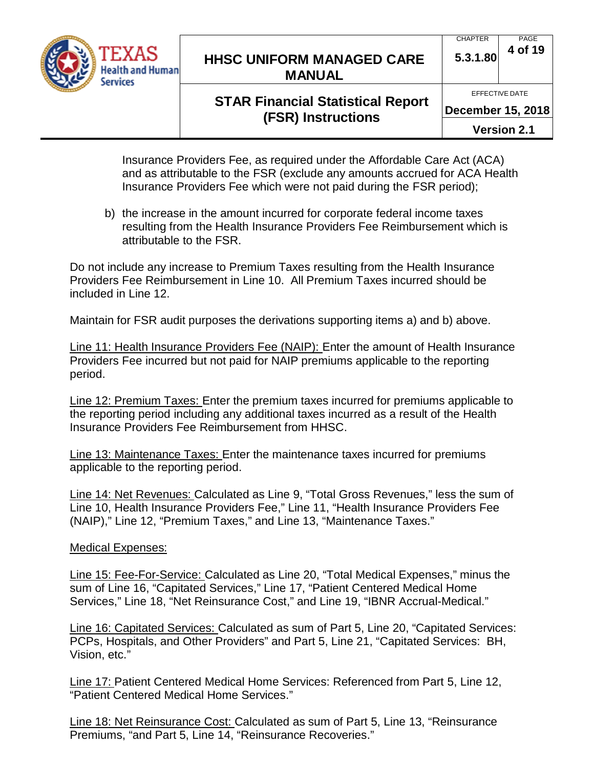

#### CHAPTER **5.3.1.80** PAGE **4 of 19**

EFFECTIVE DATE

## **STAR Financial Statistical Report (FSR) Instructions**

**December 15, 2018**

**Version 2.1**

Insurance Providers Fee, as required under the Affordable Care Act (ACA) and as attributable to the FSR (exclude any amounts accrued for ACA Health Insurance Providers Fee which were not paid during the FSR period);

b) the increase in the amount incurred for corporate federal income taxes resulting from the Health Insurance Providers Fee Reimbursement which is attributable to the FSR.

Do not include any increase to Premium Taxes resulting from the Health Insurance Providers Fee Reimbursement in Line 10. All Premium Taxes incurred should be included in Line 12.

Maintain for FSR audit purposes the derivations supporting items a) and b) above.

Line 11: Health Insurance Providers Fee (NAIP): Enter the amount of Health Insurance Providers Fee incurred but not paid for NAIP premiums applicable to the reporting period.

Line 12: Premium Taxes: Enter the premium taxes incurred for premiums applicable to the reporting period including any additional taxes incurred as a result of the Health Insurance Providers Fee Reimbursement from HHSC.

Line 13: Maintenance Taxes: Enter the maintenance taxes incurred for premiums applicable to the reporting period.

Line 14: Net Revenues: Calculated as Line 9, "Total Gross Revenues," less the sum of Line 10, Health Insurance Providers Fee," Line 11, "Health Insurance Providers Fee (NAIP)," Line 12, "Premium Taxes," and Line 13, "Maintenance Taxes."

#### Medical Expenses:

Line 15: Fee-For-Service: Calculated as Line 20, "Total Medical Expenses," minus the sum of Line 16, "Capitated Services," Line 17, "Patient Centered Medical Home Services," Line 18, "Net Reinsurance Cost," and Line 19, "IBNR Accrual-Medical."

Line 16: Capitated Services: Calculated as sum of Part 5, Line 20, "Capitated Services: PCPs, Hospitals, and Other Providers" and Part 5, Line 21, "Capitated Services: BH, Vision, etc."

Line 17: Patient Centered Medical Home Services: Referenced from Part 5, Line 12, "Patient Centered Medical Home Services."

Line 18: Net Reinsurance Cost: Calculated as sum of Part 5, Line 13, "Reinsurance Premiums, "and Part 5, Line 14, "Reinsurance Recoveries."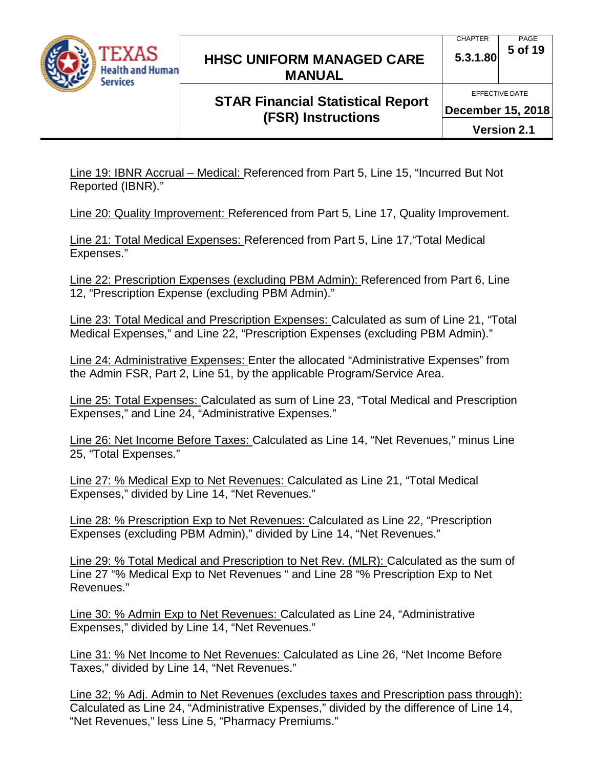

# **STAR Financial Statistical Report (FSR) Instructions**

Line 19: IBNR Accrual – Medical: Referenced from Part 5, Line 15, "Incurred But Not Reported (IBNR)."

Line 20: Quality Improvement: Referenced from Part 5, Line 17, Quality Improvement.

Line 21: Total Medical Expenses: Referenced from Part 5, Line 17,"Total Medical Expenses."

Line 22: Prescription Expenses (excluding PBM Admin): Referenced from Part 6, Line 12, "Prescription Expense (excluding PBM Admin)."

Line 23: Total Medical and Prescription Expenses: Calculated as sum of Line 21, "Total Medical Expenses," and Line 22, "Prescription Expenses (excluding PBM Admin)."

Line 24: Administrative Expenses: Enter the allocated "Administrative Expenses" from the Admin FSR, Part 2, Line 51, by the applicable Program/Service Area.

Line 25: Total Expenses: Calculated as sum of Line 23, "Total Medical and Prescription Expenses," and Line 24, "Administrative Expenses."

Line 26: Net Income Before Taxes: Calculated as Line 14, "Net Revenues," minus Line 25, "Total Expenses."

Line 27: % Medical Exp to Net Revenues: Calculated as Line 21, "Total Medical Expenses," divided by Line 14, "Net Revenues."

Line 28: % Prescription Exp to Net Revenues: Calculated as Line 22, "Prescription Expenses (excluding PBM Admin)," divided by Line 14, "Net Revenues."

Line 29: % Total Medical and Prescription to Net Rev. (MLR): Calculated as the sum of Line 27 "% Medical Exp to Net Revenues " and Line 28 "% Prescription Exp to Net Revenues."

Line 30: % Admin Exp to Net Revenues: Calculated as Line 24, "Administrative Expenses," divided by Line 14, "Net Revenues."

Line 31: % Net Income to Net Revenues: Calculated as Line 26, "Net Income Before Taxes," divided by Line 14, "Net Revenues."

Line 32; % Adj. Admin to Net Revenues (excludes taxes and Prescription pass through): Calculated as Line 24, "Administrative Expenses," divided by the difference of Line 14, "Net Revenues," less Line 5, "Pharmacy Premiums."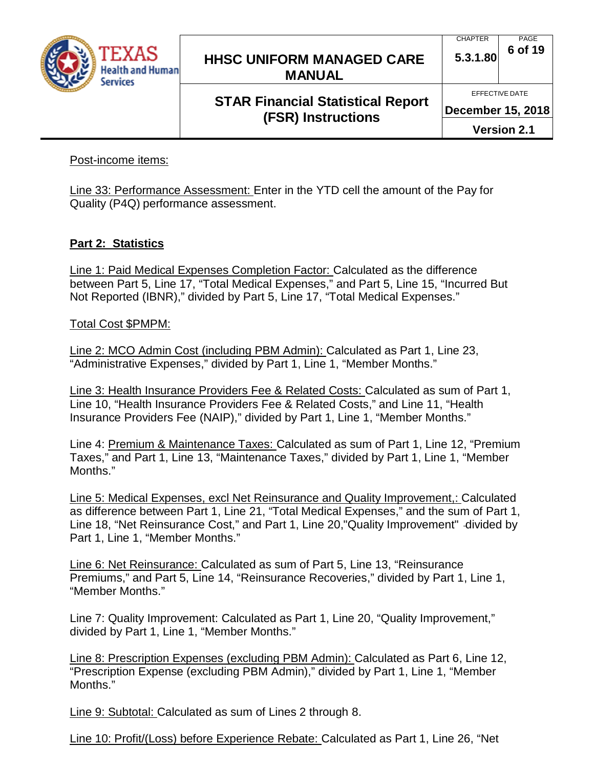

## **STAR Financial Statistical Report (FSR) Instructions**

PAGE

CHAPTER

EFFECTIVE DATE **December 15, 2018**

**Version 2.1**

Post-income items:

Line 33: Performance Assessment: Enter in the YTD cell the amount of the Pay for Quality (P4Q) performance assessment.

#### **Part 2: Statistics**

Line 1: Paid Medical Expenses Completion Factor: Calculated as the difference between Part 5, Line 17, "Total Medical Expenses," and Part 5, Line 15, "Incurred But Not Reported (IBNR)," divided by Part 5, Line 17, "Total Medical Expenses."

Total Cost \$PMPM:

Line 2: MCO Admin Cost (including PBM Admin): Calculated as Part 1, Line 23, "Administrative Expenses," divided by Part 1, Line 1, "Member Months."

Line 3: Health Insurance Providers Fee & Related Costs: Calculated as sum of Part 1, Line 10, "Health Insurance Providers Fee & Related Costs," and Line 11, "Health Insurance Providers Fee (NAIP)," divided by Part 1, Line 1, "Member Months."

Line 4: Premium & Maintenance Taxes: Calculated as sum of Part 1, Line 12, "Premium Taxes," and Part 1, Line 13, "Maintenance Taxes," divided by Part 1, Line 1, "Member Months."

Line 5: Medical Expenses, excl Net Reinsurance and Quality Improvement,: Calculated as difference between Part 1, Line 21, "Total Medical Expenses," and the sum of Part 1, Line 18, "Net Reinsurance Cost," and Part 1, Line 20,"Quality Improvement" divided by Part 1, Line 1, "Member Months."

Line 6: Net Reinsurance: Calculated as sum of Part 5, Line 13, "Reinsurance Premiums," and Part 5, Line 14, "Reinsurance Recoveries," divided by Part 1, Line 1, "Member Months."

Line 7: Quality Improvement: Calculated as Part 1, Line 20, "Quality Improvement," divided by Part 1, Line 1, "Member Months."

Line 8: Prescription Expenses (excluding PBM Admin): Calculated as Part 6, Line 12, "Prescription Expense (excluding PBM Admin)," divided by Part 1, Line 1, "Member Months."

Line 9: Subtotal: Calculated as sum of Lines 2 through 8.

Line 10: Profit/(Loss) before Experience Rebate: Calculated as Part 1, Line 26, "Net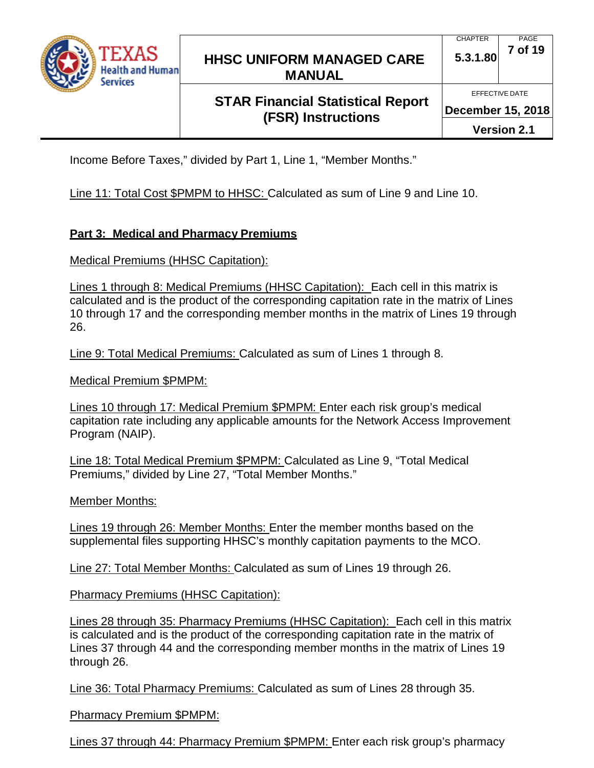

# **STAR Financial Statistical Report (FSR) Instructions**

EFFECTIVE DATE

**December 15, 2018**

**Version 2.1**

Income Before Taxes," divided by Part 1, Line 1, "Member Months."

Line 11: Total Cost \$PMPM to HHSC: Calculated as sum of Line 9 and Line 10.

#### **Part 3: Medical and Pharmacy Premiums**

Medical Premiums (HHSC Capitation):

Lines 1 through 8: Medical Premiums (HHSC Capitation): Each cell in this matrix is calculated and is the product of the corresponding capitation rate in the matrix of Lines 10 through 17 and the corresponding member months in the matrix of Lines 19 through 26.

Line 9: Total Medical Premiums: Calculated as sum of Lines 1 through 8.

Medical Premium \$PMPM:

Lines 10 through 17: Medical Premium \$PMPM: Enter each risk group's medical capitation rate including any applicable amounts for the Network Access Improvement Program (NAIP).

Line 18: Total Medical Premium \$PMPM: Calculated as Line 9, "Total Medical Premiums," divided by Line 27, "Total Member Months."

Member Months:

Lines 19 through 26: Member Months: Enter the member months based on the supplemental files supporting HHSC's monthly capitation payments to the MCO.

Line 27: Total Member Months: Calculated as sum of Lines 19 through 26.

Pharmacy Premiums (HHSC Capitation):

Lines 28 through 35: Pharmacy Premiums (HHSC Capitation): Each cell in this matrix is calculated and is the product of the corresponding capitation rate in the matrix of Lines 37 through 44 and the corresponding member months in the matrix of Lines 19 through 26.

Line 36: Total Pharmacy Premiums: Calculated as sum of Lines 28 through 35.

Pharmacy Premium \$PMPM:

Lines 37 through 44: Pharmacy Premium \$PMPM: Enter each risk group's pharmacy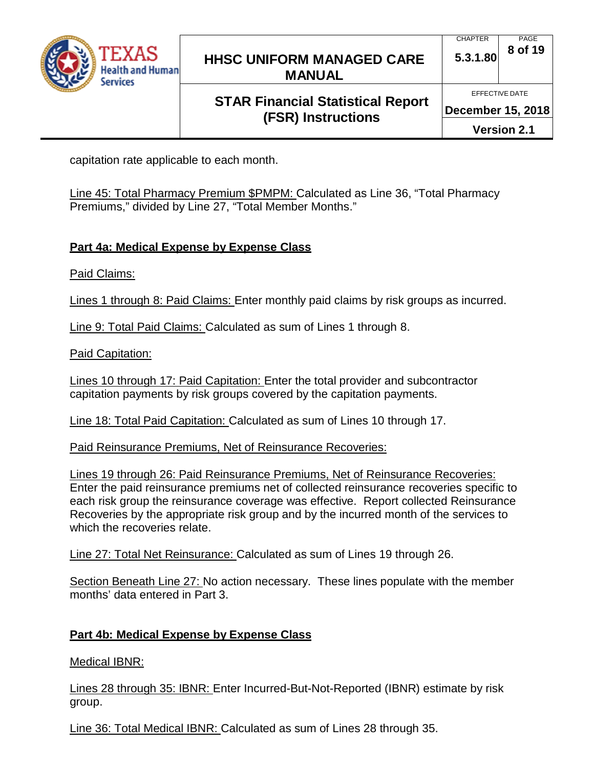

# **STAR Financial Statistical Report (FSR) Instructions**

**December 15, 2018**

**Version 2.1**

capitation rate applicable to each month.

Line 45: Total Pharmacy Premium \$PMPM: Calculated as Line 36, "Total Pharmacy Premiums," divided by Line 27, "Total Member Months."

## **Part 4a: Medical Expense by Expense Class**

Paid Claims:

Lines 1 through 8: Paid Claims: Enter monthly paid claims by risk groups as incurred.

Line 9: Total Paid Claims: Calculated as sum of Lines 1 through 8.

Paid Capitation:

Lines 10 through 17: Paid Capitation: Enter the total provider and subcontractor capitation payments by risk groups covered by the capitation payments.

Line 18: Total Paid Capitation: Calculated as sum of Lines 10 through 17.

Paid Reinsurance Premiums, Net of Reinsurance Recoveries:

Lines 19 through 26: Paid Reinsurance Premiums, Net of Reinsurance Recoveries: Enter the paid reinsurance premiums net of collected reinsurance recoveries specific to each risk group the reinsurance coverage was effective. Report collected Reinsurance Recoveries by the appropriate risk group and by the incurred month of the services to which the recoveries relate.

Line 27: Total Net Reinsurance: Calculated as sum of Lines 19 through 26.

Section Beneath Line 27: No action necessary. These lines populate with the member months' data entered in Part 3.

# **Part 4b: Medical Expense by Expense Class**

Medical IBNR:

Lines 28 through 35: IBNR: Enter Incurred-But-Not-Reported (IBNR) estimate by risk group.

Line 36: Total Medical IBNR: Calculated as sum of Lines 28 through 35.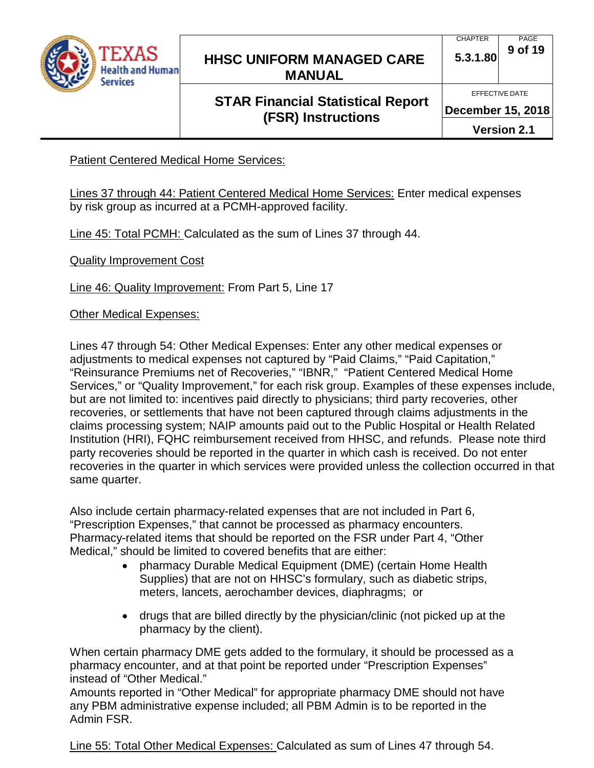

# **STAR Financial Statistical Report (FSR) Instructions**

**December 15, 2018**

**Version 2.1**

Patient Centered Medical Home Services:

Lines 37 through 44: Patient Centered Medical Home Services: Enter medical expenses by risk group as incurred at a PCMH-approved facility.

Line 45: Total PCMH: Calculated as the sum of Lines 37 through 44.

**Quality Improvement Cost** 

Line 46: Quality Improvement: From Part 5, Line 17

Other Medical Expenses:

Lines 47 through 54: Other Medical Expenses: Enter any other medical expenses or adjustments to medical expenses not captured by "Paid Claims," "Paid Capitation," "Reinsurance Premiums net of Recoveries," "IBNR," "Patient Centered Medical Home Services," or "Quality Improvement," for each risk group. Examples of these expenses include, but are not limited to: incentives paid directly to physicians; third party recoveries, other recoveries, or settlements that have not been captured through claims adjustments in the claims processing system; NAIP amounts paid out to the Public Hospital or Health Related Institution (HRI), FQHC reimbursement received from HHSC, and refunds. Please note third party recoveries should be reported in the quarter in which cash is received. Do not enter recoveries in the quarter in which services were provided unless the collection occurred in that same quarter.

Also include certain pharmacy-related expenses that are not included in Part 6, "Prescription Expenses," that cannot be processed as pharmacy encounters. Pharmacy-related items that should be reported on the FSR under Part 4, "Other Medical," should be limited to covered benefits that are either:

- pharmacy Durable Medical Equipment (DME) (certain Home Health Supplies) that are not on HHSC's formulary, such as diabetic strips, meters, lancets, aerochamber devices, diaphragms; or
- drugs that are billed directly by the physician/clinic (not picked up at the pharmacy by the client).

When certain pharmacy DME gets added to the formulary, it should be processed as a pharmacy encounter, and at that point be reported under "Prescription Expenses" instead of "Other Medical."

Amounts reported in "Other Medical" for appropriate pharmacy DME should not have any PBM administrative expense included; all PBM Admin is to be reported in the Admin FSR.

Line 55: Total Other Medical Expenses: Calculated as sum of Lines 47 through 54.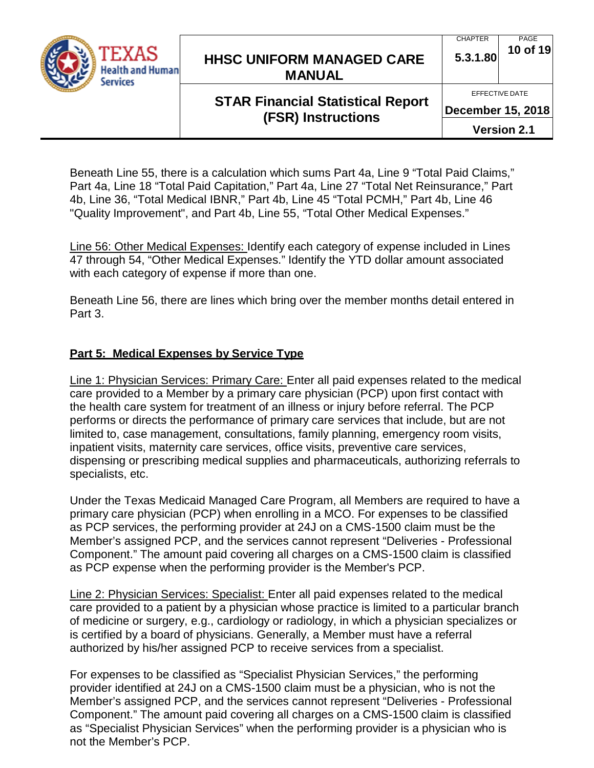

#### CHAPTER **5.3.1.80** PAGE **10 of 19**

EFFECTIVE DATE

# **STAR Financial Statistical Report (FSR) Instructions**

**December 15, 2018**

**Version 2.1**

Beneath Line 55, there is a calculation which sums Part 4a, Line 9 "Total Paid Claims," Part 4a, Line 18 "Total Paid Capitation," Part 4a, Line 27 "Total Net Reinsurance," Part 4b, Line 36, "Total Medical IBNR," Part 4b, Line 45 "Total PCMH," Part 4b, Line 46 "Quality Improvement", and Part 4b, Line 55, "Total Other Medical Expenses."

Line 56: Other Medical Expenses: Identify each category of expense included in Lines 47 through 54, "Other Medical Expenses." Identify the YTD dollar amount associated with each category of expense if more than one.

Beneath Line 56, there are lines which bring over the member months detail entered in Part 3.

### **Part 5: Medical Expenses by Service Type**

Line 1: Physician Services: Primary Care: Enter all paid expenses related to the medical care provided to a Member by a primary care physician (PCP) upon first contact with the health care system for treatment of an illness or injury before referral. The PCP performs or directs the performance of primary care services that include, but are not limited to, case management, consultations, family planning, emergency room visits, inpatient visits, maternity care services, office visits, preventive care services, dispensing or prescribing medical supplies and pharmaceuticals, authorizing referrals to specialists, etc.

Under the Texas Medicaid Managed Care Program, all Members are required to have a primary care physician (PCP) when enrolling in a MCO. For expenses to be classified as PCP services, the performing provider at 24J on a CMS-1500 claim must be the Member's assigned PCP, and the services cannot represent "Deliveries - Professional Component." The amount paid covering all charges on a CMS-1500 claim is classified as PCP expense when the performing provider is the Member's PCP.

Line 2: Physician Services: Specialist: Enter all paid expenses related to the medical care provided to a patient by a physician whose practice is limited to a particular branch of medicine or surgery, e.g., cardiology or radiology, in which a physician specializes or is certified by a board of physicians. Generally, a Member must have a referral authorized by his/her assigned PCP to receive services from a specialist.

For expenses to be classified as "Specialist Physician Services," the performing provider identified at 24J on a CMS-1500 claim must be a physician, who is not the Member's assigned PCP, and the services cannot represent "Deliveries - Professional Component." The amount paid covering all charges on a CMS-1500 claim is classified as "Specialist Physician Services" when the performing provider is a physician who is not the Member's PCP.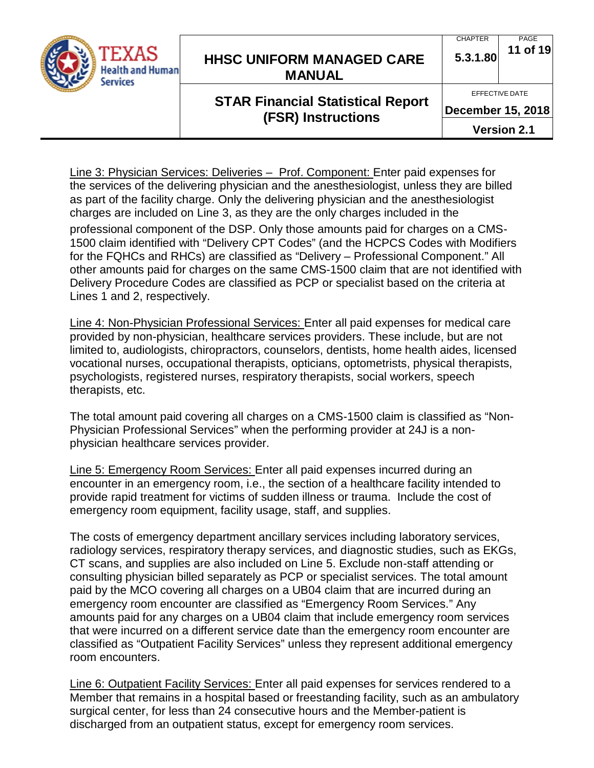

#### **CHAPTER 5.3.1.80** PAGE **11 of 19**

EFFECTIVE DATE

# **STAR Financial Statistical Report (FSR) Instructions**

**December 15, 2018**

**Version 2.1**

Line 3: Physician Services: Deliveries – Prof. Component: Enter paid expenses for the services of the delivering physician and the anesthesiologist, unless they are billed as part of the facility charge. Only the delivering physician and the anesthesiologist charges are included on Line 3, as they are the only charges included in the

professional component of the DSP. Only those amounts paid for charges on a CMS-1500 claim identified with "Delivery CPT Codes" (and the HCPCS Codes with Modifiers for the FQHCs and RHCs) are classified as "Delivery – Professional Component." All other amounts paid for charges on the same CMS-1500 claim that are not identified with Delivery Procedure Codes are classified as PCP or specialist based on the criteria at Lines 1 and 2, respectively.

Line 4: Non-Physician Professional Services: Enter all paid expenses for medical care provided by non-physician, healthcare services providers. These include, but are not limited to, audiologists, chiropractors, counselors, dentists, home health aides, licensed vocational nurses, occupational therapists, opticians, optometrists, physical therapists, psychologists, registered nurses, respiratory therapists, social workers, speech therapists, etc.

The total amount paid covering all charges on a CMS-1500 claim is classified as "Non-Physician Professional Services" when the performing provider at 24J is a nonphysician healthcare services provider.

Line 5: Emergency Room Services: Enter all paid expenses incurred during an encounter in an emergency room, i.e., the section of a healthcare facility intended to provide rapid treatment for victims of sudden illness or trauma. Include the cost of emergency room equipment, facility usage, staff, and supplies.

The costs of emergency department ancillary services including laboratory services, radiology services, respiratory therapy services, and diagnostic studies, such as EKGs, CT scans, and supplies are also included on Line 5. Exclude non-staff attending or consulting physician billed separately as PCP or specialist services. The total amount paid by the MCO covering all charges on a UB04 claim that are incurred during an emergency room encounter are classified as "Emergency Room Services." Any amounts paid for any charges on a UB04 claim that include emergency room services that were incurred on a different service date than the emergency room encounter are classified as "Outpatient Facility Services" unless they represent additional emergency room encounters.

Line 6: Outpatient Facility Services: Enter all paid expenses for services rendered to a Member that remains in a hospital based or freestanding facility, such as an ambulatory surgical center, for less than 24 consecutive hours and the Member-patient is discharged from an outpatient status, except for emergency room services.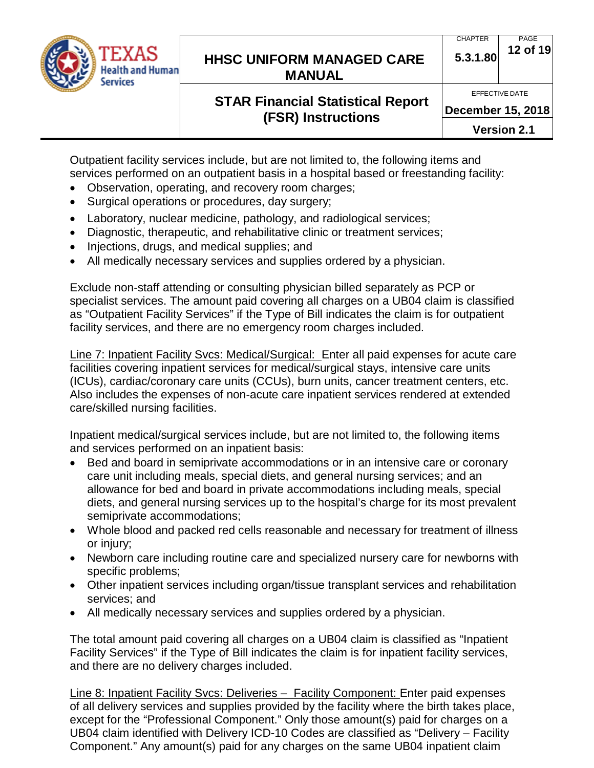

# **STAR Financial Statistical Report (FSR) Instructions**

**December 15, 2018**

**Version 2.1**

Outpatient facility services include, but are not limited to, the following items and services performed on an outpatient basis in a hospital based or freestanding facility:

- Observation, operating, and recovery room charges;
- Surgical operations or procedures, day surgery;
- Laboratory, nuclear medicine, pathology, and radiological services;
- Diagnostic, therapeutic, and rehabilitative clinic or treatment services;
- Injections, drugs, and medical supplies; and
- All medically necessary services and supplies ordered by a physician.

Exclude non-staff attending or consulting physician billed separately as PCP or specialist services. The amount paid covering all charges on a UB04 claim is classified as "Outpatient Facility Services" if the Type of Bill indicates the claim is for outpatient facility services, and there are no emergency room charges included.

Line 7: Inpatient Facility Svcs: Medical/Surgical: Enter all paid expenses for acute care facilities covering inpatient services for medical/surgical stays, intensive care units (ICUs), cardiac/coronary care units (CCUs), burn units, cancer treatment centers, etc. Also includes the expenses of non-acute care inpatient services rendered at extended care/skilled nursing facilities.

Inpatient medical/surgical services include, but are not limited to, the following items and services performed on an inpatient basis:

- Bed and board in semiprivate accommodations or in an intensive care or coronary care unit including meals, special diets, and general nursing services; and an allowance for bed and board in private accommodations including meals, special diets, and general nursing services up to the hospital's charge for its most prevalent semiprivate accommodations;
- Whole blood and packed red cells reasonable and necessary for treatment of illness or injury;
- Newborn care including routine care and specialized nursery care for newborns with specific problems;
- Other inpatient services including organ/tissue transplant services and rehabilitation services; and
- All medically necessary services and supplies ordered by a physician.

The total amount paid covering all charges on a UB04 claim is classified as "Inpatient Facility Services" if the Type of Bill indicates the claim is for inpatient facility services, and there are no delivery charges included.

Line 8: Inpatient Facility Svcs: Deliveries – Facility Component: Enter paid expenses of all delivery services and supplies provided by the facility where the birth takes place, except for the "Professional Component." Only those amount(s) paid for charges on a UB04 claim identified with Delivery ICD-10 Codes are classified as "Delivery – Facility Component." Any amount(s) paid for any charges on the same UB04 inpatient claim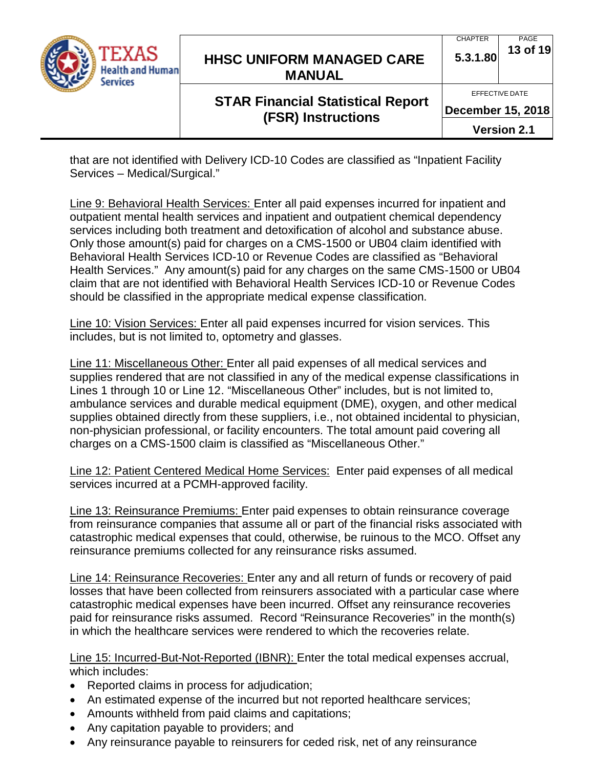

# **STAR Financial Statistical Report (FSR) Instructions**

**December 15, 2018**

**Version 2.1**

that are not identified with Delivery ICD-10 Codes are classified as "Inpatient Facility Services – Medical/Surgical."

Line 9: Behavioral Health Services: Enter all paid expenses incurred for inpatient and outpatient mental health services and inpatient and outpatient chemical dependency services including both treatment and detoxification of alcohol and substance abuse. Only those amount(s) paid for charges on a CMS-1500 or UB04 claim identified with Behavioral Health Services ICD-10 or Revenue Codes are classified as "Behavioral Health Services." Any amount(s) paid for any charges on the same CMS-1500 or UB04 claim that are not identified with Behavioral Health Services ICD-10 or Revenue Codes should be classified in the appropriate medical expense classification.

Line 10: Vision Services: Enter all paid expenses incurred for vision services. This includes, but is not limited to, optometry and glasses.

Line 11: Miscellaneous Other: Enter all paid expenses of all medical services and supplies rendered that are not classified in any of the medical expense classifications in Lines 1 through 10 or Line 12. "Miscellaneous Other" includes, but is not limited to, ambulance services and durable medical equipment (DME), oxygen, and other medical supplies obtained directly from these suppliers, i.e., not obtained incidental to physician, non-physician professional, or facility encounters. The total amount paid covering all charges on a CMS-1500 claim is classified as "Miscellaneous Other."

Line 12: Patient Centered Medical Home Services: Enter paid expenses of all medical services incurred at a PCMH-approved facility.

Line 13: Reinsurance Premiums: Enter paid expenses to obtain reinsurance coverage from reinsurance companies that assume all or part of the financial risks associated with catastrophic medical expenses that could, otherwise, be ruinous to the MCO. Offset any reinsurance premiums collected for any reinsurance risks assumed.

Line 14: Reinsurance Recoveries: Enter any and all return of funds or recovery of paid losses that have been collected from reinsurers associated with a particular case where catastrophic medical expenses have been incurred. Offset any reinsurance recoveries paid for reinsurance risks assumed. Record "Reinsurance Recoveries" in the month(s) in which the healthcare services were rendered to which the recoveries relate.

Line 15: Incurred-But-Not-Reported (IBNR): Enter the total medical expenses accrual, which includes:

- Reported claims in process for adjudication;
- An estimated expense of the incurred but not reported healthcare services;
- Amounts withheld from paid claims and capitations;
- Any capitation payable to providers; and
- Any reinsurance payable to reinsurers for ceded risk, net of any reinsurance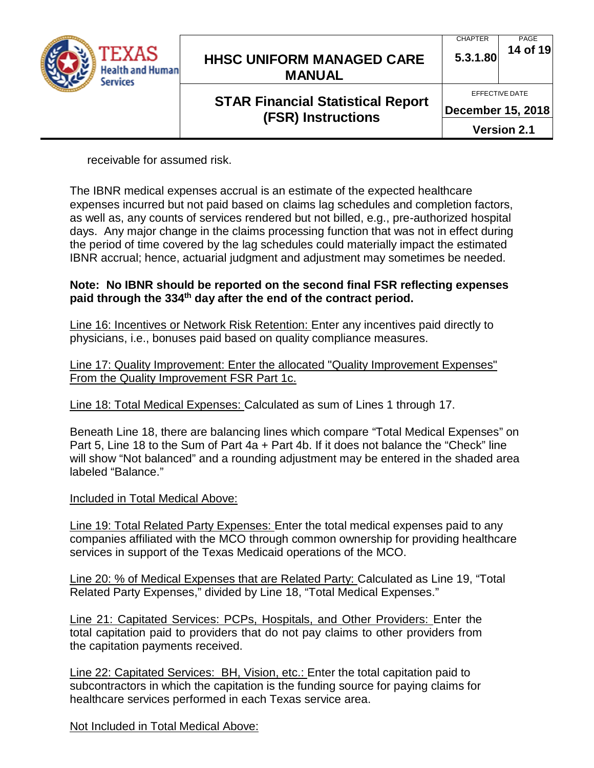

# **STAR Financial Statistical Report (FSR) Instructions**

PAGE

CHAPTER

**December 15, 2018**

**Version 2.1**

receivable for assumed risk.

The IBNR medical expenses accrual is an estimate of the expected healthcare expenses incurred but not paid based on claims lag schedules and completion factors, as well as, any counts of services rendered but not billed, e.g., pre-authorized hospital days. Any major change in the claims processing function that was not in effect during the period of time covered by the lag schedules could materially impact the estimated IBNR accrual; hence, actuarial judgment and adjustment may sometimes be needed.

#### **Note: No IBNR should be reported on the second final FSR reflecting expenses paid through the 334th day after the end of the contract period.**

Line 16: Incentives or Network Risk Retention: Enter any incentives paid directly to physicians, i.e., bonuses paid based on quality compliance measures.

Line 17: Quality Improvement: Enter the allocated "Quality Improvement Expenses" From the Quality Improvement FSR Part 1c.

Line 18: Total Medical Expenses: Calculated as sum of Lines 1 through 17.

Beneath Line 18, there are balancing lines which compare "Total Medical Expenses" on Part 5, Line 18 to the Sum of Part 4a + Part 4b. If it does not balance the "Check" line will show "Not balanced" and a rounding adjustment may be entered in the shaded area labeled "Balance."

Included in Total Medical Above:

Line 19: Total Related Party Expenses: Enter the total medical expenses paid to any companies affiliated with the MCO through common ownership for providing healthcare services in support of the Texas Medicaid operations of the MCO.

Line 20: % of Medical Expenses that are Related Party: Calculated as Line 19, "Total Related Party Expenses," divided by Line 18, "Total Medical Expenses."

Line 21: Capitated Services: PCPs, Hospitals, and Other Providers: Enter the total capitation paid to providers that do not pay claims to other providers from the capitation payments received.

Line 22: Capitated Services: BH, Vision, etc.: Enter the total capitation paid to subcontractors in which the capitation is the funding source for paying claims for healthcare services performed in each Texas service area.

Not Included in Total Medical Above: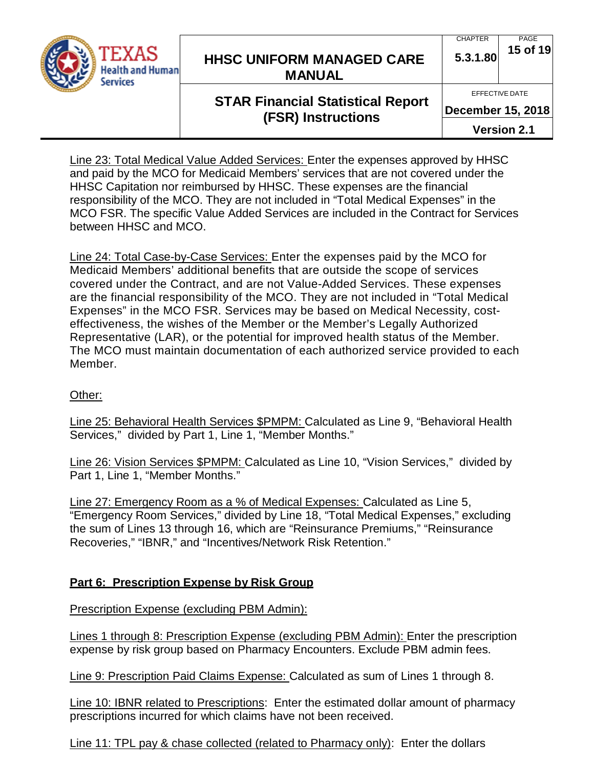

#### CHAPTER **5.3.1.80** PAGE **15 of 19**

EFFECTIVE DATE

# **STAR Financial Statistical Report (FSR) Instructions**

**December 15, 2018**

**Version 2.1**

Line 23: Total Medical Value Added Services: Enter the expenses approved by HHSC and paid by the MCO for Medicaid Members' services that are not covered under the HHSC Capitation nor reimbursed by HHSC. These expenses are the financial responsibility of the MCO. They are not included in "Total Medical Expenses" in the MCO FSR. The specific Value Added Services are included in the Contract for Services between HHSC and MCO.

Line 24: Total Case-by-Case Services: Enter the expenses paid by the MCO for Medicaid Members' additional benefits that are outside the scope of services covered under the Contract, and are not Value-Added Services. These expenses are the financial responsibility of the MCO. They are not included in "Total Medical Expenses" in the MCO FSR. Services may be based on Medical Necessity, costeffectiveness, the wishes of the Member or the Member's Legally Authorized Representative (LAR), or the potential for improved health status of the Member. The MCO must maintain documentation of each authorized service provided to each Member.

### Other:

Line 25: Behavioral Health Services \$PMPM: Calculated as Line 9, "Behavioral Health Services," divided by Part 1, Line 1, "Member Months."

Line 26: Vision Services \$PMPM: Calculated as Line 10, "Vision Services," divided by Part 1, Line 1, "Member Months."

Line 27: Emergency Room as a % of Medical Expenses: Calculated as Line 5, "Emergency Room Services," divided by Line 18, "Total Medical Expenses," excluding the sum of Lines 13 through 16, which are "Reinsurance Premiums," "Reinsurance Recoveries," "IBNR," and "Incentives/Network Risk Retention."

### **Part 6: Prescription Expense by Risk Group**

Prescription Expense (excluding PBM Admin):

Lines 1 through 8: Prescription Expense (excluding PBM Admin): Enter the prescription expense by risk group based on Pharmacy Encounters. Exclude PBM admin fees.

Line 9: Prescription Paid Claims Expense: Calculated as sum of Lines 1 through 8.

Line 10: IBNR related to Prescriptions: Enter the estimated dollar amount of pharmacy prescriptions incurred for which claims have not been received.

Line 11: TPL pay & chase collected (related to Pharmacy only): Enter the dollars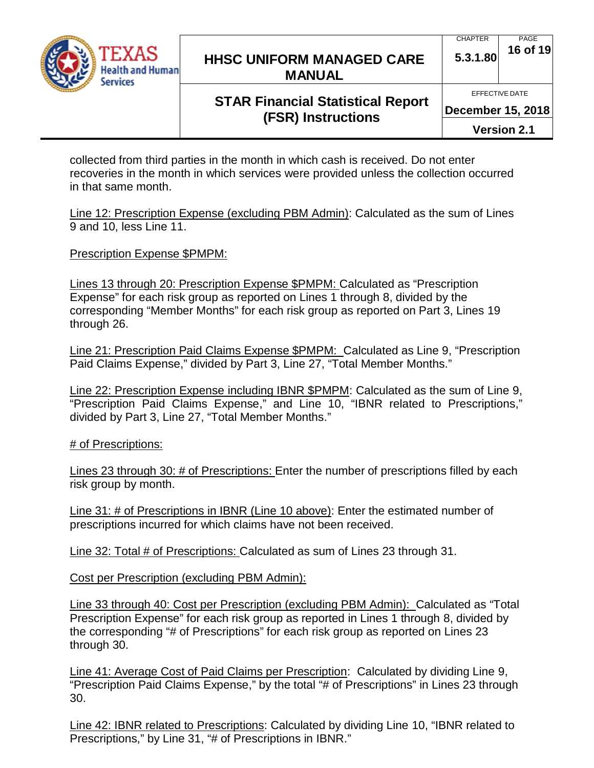

# **STAR Financial Statistical Report (FSR) Instructions**

**5.3.1.80 16 of 19**

PAGE

**December 15, 2018**

CHAPTER

**Version 2.1**

collected from third parties in the month in which cash is received. Do not enter recoveries in the month in which services were provided unless the collection occurred in that same month.

Line 12: Prescription Expense (excluding PBM Admin): Calculated as the sum of Lines 9 and 10, less Line 11.

Prescription Expense \$PMPM:

Lines 13 through 20: Prescription Expense \$PMPM: Calculated as "Prescription Expense" for each risk group as reported on Lines 1 through 8, divided by the corresponding "Member Months" for each risk group as reported on Part 3, Lines 19 through 26.

Line 21: Prescription Paid Claims Expense \$PMPM: Calculated as Line 9, "Prescription Paid Claims Expense," divided by Part 3, Line 27, "Total Member Months."

Line 22: Prescription Expense including IBNR \$PMPM: Calculated as the sum of Line 9, "Prescription Paid Claims Expense," and Line 10, "IBNR related to Prescriptions," divided by Part 3, Line 27, "Total Member Months."

# of Prescriptions:

Lines 23 through 30: # of Prescriptions: Enter the number of prescriptions filled by each risk group by month.

Line 31: # of Prescriptions in IBNR (Line 10 above): Enter the estimated number of prescriptions incurred for which claims have not been received.

Line 32: Total # of Prescriptions: Calculated as sum of Lines 23 through 31.

Cost per Prescription (excluding PBM Admin):

Line 33 through 40: Cost per Prescription (excluding PBM Admin): Calculated as "Total Prescription Expense" for each risk group as reported in Lines 1 through 8, divided by the corresponding "# of Prescriptions" for each risk group as reported on Lines 23 through 30.

Line 41: Average Cost of Paid Claims per Prescription: Calculated by dividing Line 9, "Prescription Paid Claims Expense," by the total "# of Prescriptions" in Lines 23 through 30.

Line 42: IBNR related to Prescriptions: Calculated by dividing Line 10, "IBNR related to Prescriptions," by Line 31, "# of Prescriptions in IBNR."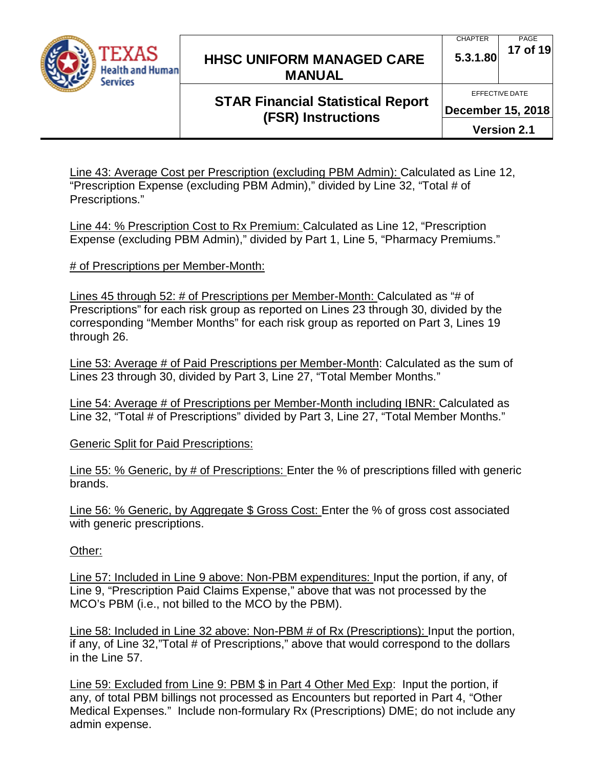

#### CHAPTER **5.3.1.80** PAGE **17 of 19**

# **STAR Financial Statistical Report (FSR) Instructions**

**December 15, 2018**

**Version 2.1**

Line 43: Average Cost per Prescription (excluding PBM Admin): Calculated as Line 12, "Prescription Expense (excluding PBM Admin)," divided by Line 32, "Total # of Prescriptions."

Line 44: % Prescription Cost to Rx Premium: Calculated as Line 12, "Prescription Expense (excluding PBM Admin)," divided by Part 1, Line 5, "Pharmacy Premiums."

# of Prescriptions per Member-Month:

Lines 45 through 52: # of Prescriptions per Member-Month: Calculated as "# of Prescriptions" for each risk group as reported on Lines 23 through 30, divided by the corresponding "Member Months" for each risk group as reported on Part 3, Lines 19 through 26.

Line 53: Average # of Paid Prescriptions per Member-Month: Calculated as the sum of Lines 23 through 30, divided by Part 3, Line 27, "Total Member Months."

Line 54: Average # of Prescriptions per Member-Month including IBNR: Calculated as Line 32, "Total # of Prescriptions" divided by Part 3, Line 27, "Total Member Months."

Generic Split for Paid Prescriptions:

Line 55: % Generic, by # of Prescriptions: Enter the % of prescriptions filled with generic brands.

Line 56: % Generic, by Aggregate \$ Gross Cost: Enter the % of gross cost associated with generic prescriptions.

Other:

Line 57: Included in Line 9 above: Non-PBM expenditures: Input the portion, if any, of Line 9, "Prescription Paid Claims Expense," above that was not processed by the MCO's PBM (i.e., not billed to the MCO by the PBM).

Line 58: Included in Line 32 above: Non-PBM # of Rx (Prescriptions): Input the portion, if any, of Line 32,"Total # of Prescriptions," above that would correspond to the dollars in the Line 57.

Line 59: Excluded from Line 9: PBM \$ in Part 4 Other Med Exp: Input the portion, if any, of total PBM billings not processed as Encounters but reported in Part 4, "Other Medical Expenses." Include non-formulary Rx (Prescriptions) DME; do not include any admin expense.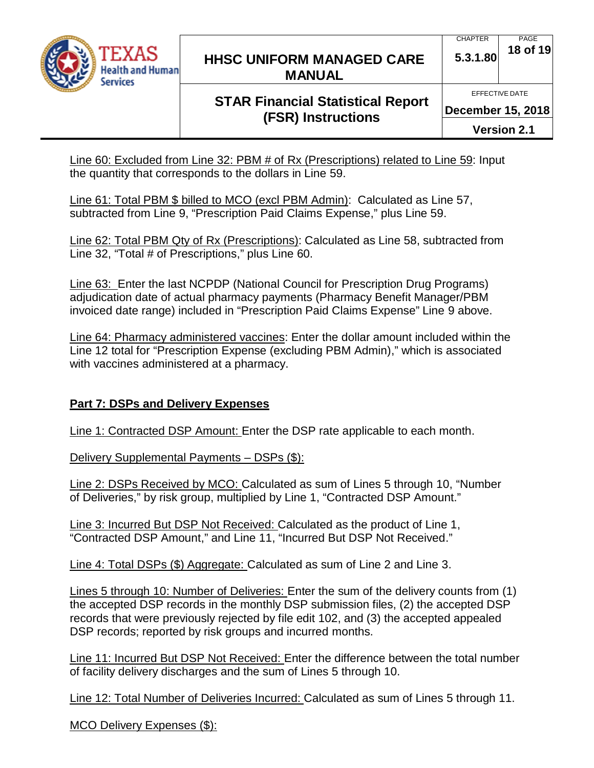

#### **CHAPTER 5.3.1.80** PAGE **18 of 19**

# **STAR Financial Statistical Report (FSR) Instructions**

**December 15, 2018**

**Version 2.1**

Line 60: Excluded from Line 32: PBM # of Rx (Prescriptions) related to Line 59: Input the quantity that corresponds to the dollars in Line 59.

Line 61: Total PBM \$ billed to MCO (excl PBM Admin): Calculated as Line 57, subtracted from Line 9, "Prescription Paid Claims Expense," plus Line 59.

Line 62: Total PBM Qty of Rx (Prescriptions): Calculated as Line 58, subtracted from Line 32, "Total # of Prescriptions," plus Line 60.

Line 63: Enter the last NCPDP (National Council for Prescription Drug Programs) adjudication date of actual pharmacy payments (Pharmacy Benefit Manager/PBM invoiced date range) included in "Prescription Paid Claims Expense" Line 9 above.

Line 64: Pharmacy administered vaccines: Enter the dollar amount included within the Line 12 total for "Prescription Expense (excluding PBM Admin)," which is associated with vaccines administered at a pharmacy.

### **Part 7: DSPs and Delivery Expenses**

Line 1: Contracted DSP Amount: Enter the DSP rate applicable to each month.

Delivery Supplemental Payments - DSPs (\$):

Line 2: DSPs Received by MCO: Calculated as sum of Lines 5 through 10, "Number of Deliveries," by risk group, multiplied by Line 1, "Contracted DSP Amount."

Line 3: Incurred But DSP Not Received: Calculated as the product of Line 1, "Contracted DSP Amount," and Line 11, "Incurred But DSP Not Received."

Line 4: Total DSPs (\$) Aggregate: Calculated as sum of Line 2 and Line 3.

Lines 5 through 10: Number of Deliveries: Enter the sum of the delivery counts from (1) the accepted DSP records in the monthly DSP submission files, (2) the accepted DSP records that were previously rejected by file edit 102, and (3) the accepted appealed DSP records; reported by risk groups and incurred months.

Line 11: Incurred But DSP Not Received: Enter the difference between the total number of facility delivery discharges and the sum of Lines 5 through 10.

Line 12: Total Number of Deliveries Incurred: Calculated as sum of Lines 5 through 11.

MCO Delivery Expenses (\$):